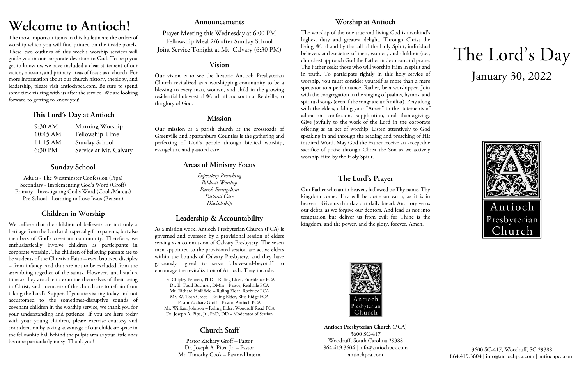# **Welcome to Antioch!**

The most important items in this bulletin are the orders of worship which you will find printed on the inside panels. These two outlines of this week's worship services will guide you in our corporate devotion to God. To help you get to know us, we have included a clear statement of our vision, mission, and primary areas of focus as a church. For more information about our church history, theology, and leadership, please visit antiochpca.com. Be sure to spend some time visiting with us after the service. We are looking forward to getting to know you!

## **This Lord's Day at Antioch**

| 9:30 AM  | Morning Worship        |
|----------|------------------------|
| 10:45 AM | Fellowship Time        |
| 11:15 AM | Sunday School          |
| 6:30 PM  | Service at Mt. Calvary |

## **Sunday School**

Adults - The Westminster Confession (Pipa) Secondary - Implementing God's Word (Groff) Primary - Investigating God's Word (Cook/Marcus) Pre-School - Learning to Love Jesus (Benson)

## **Children in Worship**

We believe that the children of believers are not only a heritage from the Lord and a special gift to parents, but also members of God's covenant community. Therefore, we enthusiastically involve children as participants in corporate worship. The children of believing parents are to be students of the Christian Faith – even baptized disciples – from infancy, and thus are not to be excluded from the assembling together of the saints. However, until such a time as they are able to examine themselves of their being in Christ, such members of the church are to refrain from taking the Lord's Supper. If you are visiting today and not accustomed to the sometimes-disruptive sounds of covenant children in the worship service, we thank you for your understanding and patience. If you are here today with your young children, please exercise courtesy and consideration by taking advantage of our childcare space in the fellowship hall behind the pulpit area as your little ones become particularly noisy. Thank you!

## **Announcements**

Prayer Meeting this Wednesday at 6:00 PM Fellowship Meal 2/6 after Sunday School Joint Service Tonight at Mt. Calvary (6:30 PM)

## **Vision**

**Our vision** is to see the historic Antioch Presbyterian Church revitalized as a worshipping community to be a blessing to every man, woman, and child in the growing residential hub west of Woodruff and south of Reidville, to the glory of God.

## **Mission**

**Our mission** as a parish church at the crossroads of Greenville and Spartanburg Counties is the gathering and perfecting of God's people through biblical worship, evangelism, and pastoral care.

## **Areas of Ministry Focus**

*Expository Preaching Biblical Worship Parish Evangelism Pastoral Care Discipleship*

## **Leadership & Accountability**

As a mission work, Antioch Presbyterian Church (PCA) is governed and overseen by a provisional session of elders serving as a commission of Calvary Presbytery. The seven men appointed to the provisional session are active elders within the bounds of Calvary Presbytery, and they have graciously agreed to serve "above-and-beyond" to encourage the revitalization of Antioch. They include:

Dr. Chipley Bennett, PhD – Ruling Elder, Providence PCA Dr. E. Todd Buchner, DMin – Pastor, Reidville PCA Mr. Richard Hollifield – Ruling Elder, Roebuck PCA Mr. W. Tosh Groce – Ruling Elder, Blue Ridge PCA Pastor Zachary Groff – Pastor, Antioch PCA Mr. William Johnson – Ruling Elder, Woodruff Road PCA Dr. Joseph A. Pipa, Jr., PhD, DD – Moderator of Session

## **Church Staff**

Pastor Zachary Groff – Pastor Dr. Joseph A. Pipa, Jr. – Pastor Mr. Timothy Cook – Pastoral Intern

## **Worship at Antioch**

The worship of the one true and living God is mankind's highest duty and greatest delight. Through Christ the living Word and by the call of the Holy Spirit, individual believers and societies of men, women, and children (i.e., churches) approach God the Father in devotion and praise. The Father seeks those who will worship Him in spirit and in truth. To participate rightly in this holy service of worship, you must consider yourself as more than a mere spectator to a performance. Rather, be a worshipper. Join with the congregation in the singing of psalms, hymns, and spiritual songs (even if the songs are unfamiliar). Pray along with the elders, adding your "Amen" to the statements of adoration, confession, supplication, and thanksgiving. Give joyfully to the work of the Lord in the corporate offering as an act of worship. Listen attentively to God speaking in and through the reading and preaching of His inspired Word. May God the Father receive an acceptable sacrifice of praise through Christ the Son as we actively worship Him by the Holy Spirit.

## **The Lord's Prayer**

Our Father who art in heaven, hallowed be Thy name. Thy kingdom come. Thy will be done on earth, as it is in heaven. Give us this day our daily bread. And forgive us our debts, as we forgive our debtors. And lead us not into temptation but deliver us from evil; for Thine is the kingdom, and the power, and the glory, forever. Amen.



**Antioch Presbyterian Church (PCA)** 3600 SC-417 Woodruff, South Carolina 29388 864.419.3604 | info@antiochpca.com antiochpca.com

# The Lord's Day January 30, 2022



3600 SC-417, Woodruff, SC 29388 864.419.3604 | info@antiochpca.com | antiochpca.com